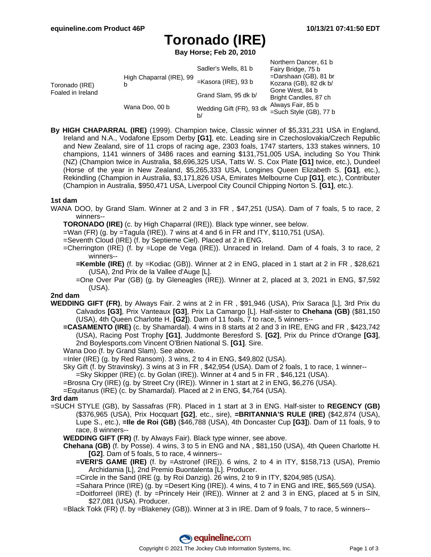# **Toronado (IRE)**

**Bay Horse; Feb 20, 2010**

|                                     |                               | Sadler's Wells, 81 b           | Northern Dancer, 61 b<br>Fairy Bridge, 75 b       |
|-------------------------------------|-------------------------------|--------------------------------|---------------------------------------------------|
| Toronado (IRE)<br>Foaled in Ireland | High Chaparral (IRE), 99<br>b | $=$ Kasora (IRE), 93 b         | $=$ Darshaan (GB), 81 br<br>Kozana (GB), 82 dk b/ |
|                                     |                               | Grand Slam, 95 dk b/           | Gone West, 84 b<br>Bright Candles, 87 ch          |
|                                     | Wana Doo, 00 b                | Wedding Gift (FR), 93 dk<br>b/ | Always Fair, 85 b<br>=Such Style (GB), 77 b       |

**By HIGH CHAPARRAL (IRE)** (1999). Champion twice, Classic winner of \$5,331,231 USA in England, Ireland and N.A., Vodafone Epsom Derby **[G1]**, etc. Leading sire in Czechoslovakia/Czech Republic and New Zealand, sire of 11 crops of racing age, 2303 foals, 1747 starters, 133 stakes winners, 10 champions, 1141 winners of 3486 races and earning \$131,751,005 USA, including So You Think (NZ) (Champion twice in Australia, \$8,696,325 USA, Tatts W. S. Cox Plate **[G1]** twice, etc.), Dundeel (Horse of the year in New Zealand, \$5,265,333 USA, Longines Queen Elizabeth S. **[G1]**, etc.), Rekindling (Champion in Australia, \$3,171,826 USA, Emirates Melbourne Cup **[G1]**, etc.), Contributer (Champion in Australia, \$950,471 USA, Liverpool City Council Chipping Norton S. **[G1]**, etc.).

#### **1st dam**

- WANA DOO, by Grand Slam. Winner at 2 and 3 in FR , \$47,251 (USA). Dam of 7 foals, 5 to race, 2 winners--
	- **TORONADO (IRE)** (c. by High Chaparral (IRE)). Black type winner, see below.
	- $=$ Wan (FR) (g. by  $=$ Tagula (IRE)). 7 wins at 4 and 6 in FR and ITY, \$110,751 (USA).
	- =Seventh Cloud (IRE) (f. by Septieme Ciel). Placed at 2 in ENG.
	- =Cherrington (IRE) (f. by =Lope de Vega (IRE)). Unraced in Ireland. Dam of 4 foals, 3 to race, 2 winners--
		- **=Kemble (IRE)** (f. by =Kodiac (GB)). Winner at 2 in ENG, placed in 1 start at 2 in FR , \$28,621 (USA), 2nd Prix de la Vallee d'Auge [L].
		- =One Over Par (GB) (g. by Gleneagles (IRE)). Winner at 2, placed at 3, 2021 in ENG, \$7,592 (USA).

#### **2nd dam**

- **WEDDING GIFT (FR)**, by Always Fair. 2 wins at 2 in FR , \$91,946 (USA), Prix Saraca [L], 3rd Prix du Calvados **[G3]**, Prix Vanteaux **[G3]**, Prix La Camargo [L]. Half-sister to **Chehana (GB)** (\$81,150 (USA), 4th Queen Charlotte H. **[G2]**). Dam of 11 foals, 7 to race, 5 winners--
	- **=CASAMENTO (IRE)** (c. by Shamardal). 4 wins in 8 starts at 2 and 3 in IRE, ENG and FR , \$423,742 (USA), Racing Post Trophy **[G1]**, Juddmonte Beresford S. **[G2]**, Prix du Prince d'Orange **[G3]**, 2nd Boylesports.com Vincent O'Brien National S. **[G1]**. Sire.
	- Wana Doo (f. by Grand Slam). See above.
	- =Inler (IRE) (g. by Red Ransom). 3 wins, 2 to 4 in ENG, \$49,802 (USA).
	- Sky Gift (f. by Stravinsky). 3 wins at 3 in FR , \$42,954 (USA). Dam of 2 foals, 1 to race, 1 winner--
		- =Sky Skipper (IRE) (c. by Golan (IRE)). Winner at 4 and 5 in FR , \$46,121 (USA).
	- =Brosna Cry (IRE) (g. by Street Cry (IRE)). Winner in 1 start at 2 in ENG, \$6,276 (USA).
	- =Equitanus (IRE) (c. by Shamardal). Placed at 2 in ENG, \$4,764 (USA).

#### **3rd dam**

- =SUCH STYLE (GB), by Sassafras (FR). Placed in 1 start at 3 in ENG. Half-sister to **REGENCY (GB)** (\$376,965 (USA), Prix Hocquart **[G2]**, etc., sire), **=BRITANNIA'S RULE (IRE)** (\$42,874 (USA), Lupe S., etc.), **=Ile de Roi (GB)** (\$46,788 (USA), 4th Doncaster Cup **[G3]**). Dam of 11 foals, 9 to race, 8 winners--
	- **WEDDING GIFT (FR)** (f. by Always Fair). Black type winner, see above.
	- **Chehana (GB)** (f. by Posse). 4 wins, 3 to 5 in ENG and NA , \$81,150 (USA), 4th Queen Charlotte H. **[G2]**. Dam of 5 foals, 5 to race, 4 winners--
		- **=VERI'S GAME (IRE)** (f. by =Astronef (IRE)). 6 wins, 2 to 4 in ITY, \$158,713 (USA), Premio Archidamia [L], 2nd Premio Buontalenta [L]. Producer.
		- =Circle in the Sand (IRE (g. by Roi Danzig). 26 wins, 2 to 9 in ITY, \$204,985 (USA).
		- =Sahara Prince (IRE) (g. by =Desert King (IRE)). 4 wins, 4 to 7 in ENG and IRE, \$65,569 (USA).
		- =Doitforreel (IRE) (f. by =Princely Heir (IRE)). Winner at 2 and 3 in ENG, placed at 5 in SIN, \$27,081 (USA). Producer.
	- =Black Tokk (FR) (f. by =Blakeney (GB)). Winner at 3 in IRE. Dam of 9 foals, 7 to race, 5 winners--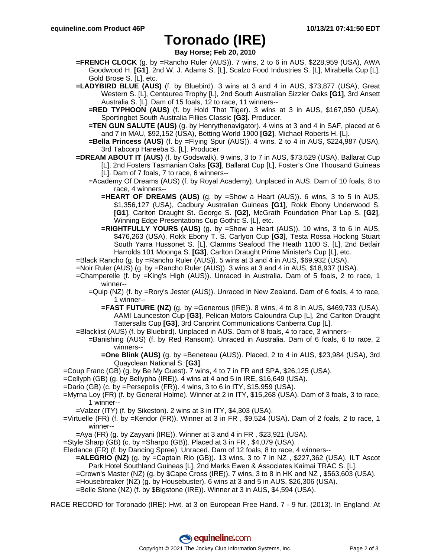### **Toronado (IRE)**

**Bay Horse; Feb 20, 2010**

- **=FRENCH CLOCK** (g. by =Rancho Ruler (AUS)). 7 wins, 2 to 6 in AUS, \$228,959 (USA), AWA Goodwood H. **[G1]**, 2nd W. J. Adams S. [L], Scalzo Food Industries S. [L], Mirabella Cup [L], Gold Brose S. [L], etc.
- **=LADYBIRD BLUE (AUS)** (f. by Bluebird). 3 wins at 3 and 4 in AUS, \$73,877 (USA), Great Western S. [L], Centaurea Trophy [L], 2nd South Australian Sizzler Oaks **[G1]**, 3rd Ansett Australia S. [L]. Dam of 15 foals, 12 to race, 11 winners--
	- **=RED TYPHOON (AUS)** (f. by Hold That Tiger). 3 wins at 3 in AUS, \$167,050 (USA), Sportingbet South Australia Fillies Classic **[G3]**. Producer.
	- **=TEN GUN SALUTE (AUS)** (g. by Henrythenavigator). 4 wins at 3 and 4 in SAF, placed at 6 and 7 in MAU, \$92,152 (USA), Betting World 1900 **[G2]**, Michael Roberts H. [L].
	- **=Bella Princess (AUS)** (f. by =Flying Spur (AUS)). 4 wins, 2 to 4 in AUS, \$224,987 (USA), 3rd Tabcorp Hareeba S. [L]. Producer.
- **=DREAM ABOUT IT (AUS)** (f. by Godswalk). 9 wins, 3 to 7 in AUS, \$73,529 (USA), Ballarat Cup [L], 2nd Fosters Tasmanian Oaks **[G3]**, Ballarat Cup [L], Foster's One Thousand Guineas [L]. Dam of 7 foals, 7 to race, 6 winners--
	- =Academy Of Dreams (AUS) (f. by Royal Academy). Unplaced in AUS. Dam of 10 foals, 8 to race, 4 winners--
		- **=HEART OF DREAMS (AUS)** (g. by =Show a Heart (AUS)). 6 wins, 3 to 5 in AUS, \$1,356,127 (USA), Cadbury Australian Guineas **[G1]**, Rokk Ebony Underwood S. **[G1]**, Carlton Draught St. George S. **[G2]**, McGrath Foundation Phar Lap S. **[G2]**, Winning Edge Presentations Cup Gothic S. [L], etc.
		- **=RIGHTFULLY YOURS (AUS)** (g. by =Show a Heart (AUS)). 10 wins, 3 to 6 in AUS, \$476,263 (USA), Rokk Ebony T. S. Carlyon Cup **[G3]**, Testa Rossa Hocking Stuart South Yarra Hussonet S. [L], Clamms Seafood The Heath 1100 S. [L], 2nd Betfair Harrolds 101 Moonga S. **[G3]**, Carlton Draught Prime Minister's Cup [L], etc.
- =Black Rancho (g. by =Rancho Ruler (AUS)). 5 wins at 3 and 4 in AUS, \$69,932 (USA).
- =Noir Ruler (AUS) (g. by =Rancho Ruler (AUS)). 3 wins at 3 and 4 in AUS, \$18,937 (USA).
- =Champerelle (f. by =King's High (AUS)). Unraced in Australia. Dam of 5 foals, 2 to race, 1 winner--
	- =Quip (NZ) (f. by =Rory's Jester (AUS)). Unraced in New Zealand. Dam of 6 foals, 4 to race, 1 winner--
		- **=FAST FUTURE (NZ)** (g. by =Generous (IRE)). 8 wins, 4 to 8 in AUS, \$469,733 (USA), AAMI Launceston Cup **[G3]**, Pelican Motors Caloundra Cup [L], 2nd Carlton Draught Tattersalls Cup **[G3]**, 3rd Canprint Communications Canberra Cup [L].
- =Blacklist (AUS) (f. by Bluebird). Unplaced in AUS. Dam of 8 foals, 4 to race, 3 winners--
	- =Banishing (AUS) (f. by Red Ransom). Unraced in Australia. Dam of 6 foals, 6 to race, 2 winners--
		- **=One Blink (AUS)** (g. by =Beneteau (AUS)). Placed, 2 to 4 in AUS, \$23,984 (USA), 3rd Quayclean National S. **[G3]**.
- =Coup Franc (GB) (g. by Be My Guest). 7 wins, 4 to 7 in FR and SPA, \$26,125 (USA).
- =Cellyph (GB) (g. by Bellypha (IRE)). 4 wins at 4 and 5 in IRE, \$16,649 (USA).
- =Dario (GB) (c. by =Persepolis (FR)). 4 wins, 3 to 6 in ITY, \$15,959 (USA).
- =Myrna Loy (FR) (f. by General Holme). Winner at 2 in ITY, \$15,268 (USA). Dam of 3 foals, 3 to race, 1 winner--
	- =Valzer (ITY) (f. by Sikeston). 2 wins at 3 in ITY, \$4,303 (USA).
- =Virtuelle (FR) (f. by =Kendor (FR)). Winner at 3 in FR , \$9,524 (USA). Dam of 2 foals, 2 to race, 1 winner--
	- $=$ Aya (FR) (g. by Zayyani (IRE)). Winner at 3 and 4 in FR, \$23,921 (USA).
- =Style Sharp (GB) (c. by =Sharpo (GB)). Placed at 3 in FR , \$4,079 (USA).
- Eledance (FR) (f. by Dancing Spree). Unraced. Dam of 12 foals, 8 to race, 4 winners--
	- **=ALEGRIO (NZ)** (g. by =Captain Rio (GB)). 13 wins, 3 to 7 in NZ , \$227,362 (USA), ILT Ascot Park Hotel Southland Guineas [L], 2nd Marks Ewen & Associates Kaimai TRAC S. [L].
	- =Crown's Master (NZ) (g. by \$Cape Cross (IRE)). 7 wins, 3 to 8 in HK and NZ , \$563,603 (USA).
	- =Housebreaker (NZ) (g. by Housebuster). 6 wins at 3 and 5 in AUS, \$26,306 (USA).
	- =Belle Stone (NZ) (f. by \$Bigstone (IRE)). Winner at 3 in AUS, \$4,594 (USA).

RACE RECORD for Toronado (IRE): Hwt. at 3 on European Free Hand. 7 - 9 fur. (2013). In England. At